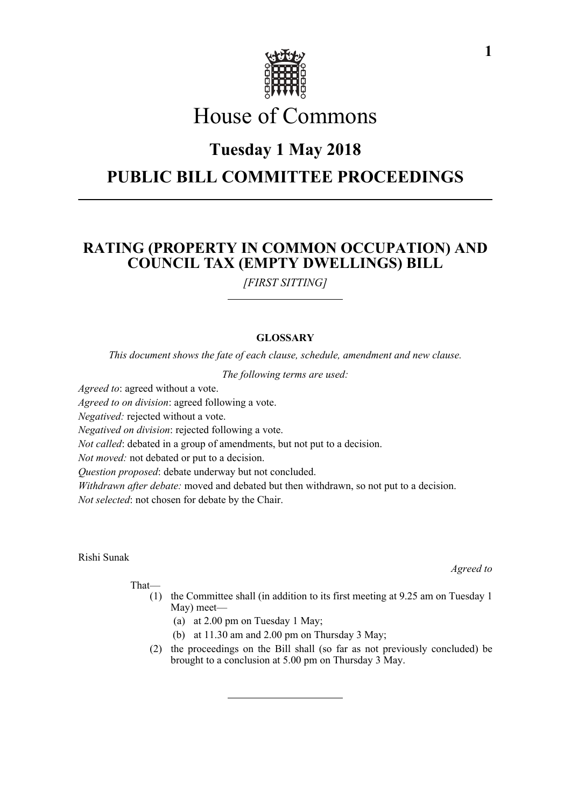

# House of Commons

## **Tuesday 1 May 2018**

# **PUBLIC BILL COMMITTEE PROCEEDINGS**

## **RATING (PROPERTY IN COMMON OCCUPATION) AND COUNCIL TAX (EMPTY DWELLINGS) BILL**

*[FIRST SITTING]*

## **GLOSSARY**

*This document shows the fate of each clause, schedule, amendment and new clause.*

*The following terms are used:*

*Agreed to*: agreed without a vote.

*Agreed to on division*: agreed following a vote.

*Negatived:* rejected without a vote.

*Negatived on division*: rejected following a vote.

*Not called*: debated in a group of amendments, but not put to a decision.

*Not moved:* not debated or put to a decision.

*Question proposed*: debate underway but not concluded.

*Withdrawn after debate:* moved and debated but then withdrawn, so not put to a decision. *Not selected*: not chosen for debate by the Chair.

#### Rishi Sunak

That—

- (1) the Committee shall (in addition to its first meeting at 9.25 am on Tuesday 1 May) meet—
	- (a) at 2.00 pm on Tuesday 1 May;
	- (b) at 11.30 am and 2.00 pm on Thursday 3 May;
- (2) the proceedings on the Bill shall (so far as not previously concluded) be brought to a conclusion at 5.00 pm on Thursday 3 May.

*Agreed to*